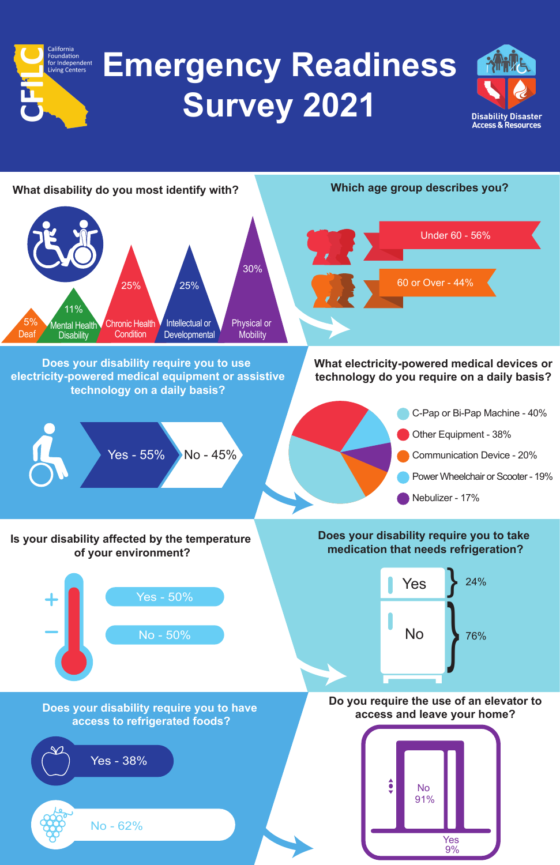